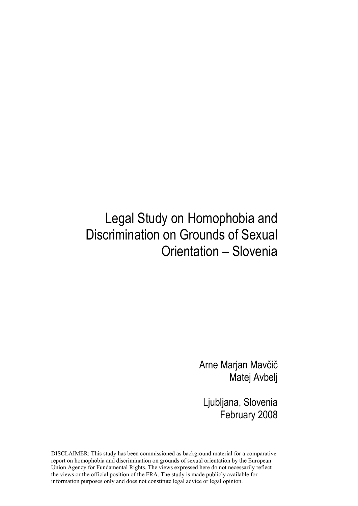## Legal Study on Homophobia and Discrimination on Grounds of Sexual Orientation – Slovenia

Arne Marjan Mavčič Matej Avbelj

Ljubljana, Slovenia February 2008

DISCLAIMER: This study has been commissioned as background material for a comparative report on homophobia and discrimination on grounds of sexual orientation by the European Union Agency for Fundamental Rights. The views expressed here do not necessarily reflect the views or the official position of the FRA. The study is made publicly available for information purposes only and does not constitute legal advice or legal opinion.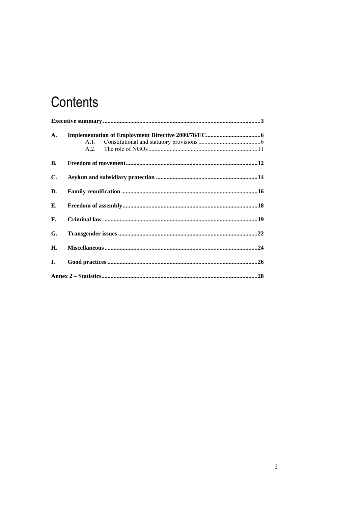# Contents

| A.             | A 1<br>A2 |  |
|----------------|-----------|--|
| В.             |           |  |
| $\mathbf{C}$ . |           |  |
| D.             |           |  |
| Е.             |           |  |
| F.             |           |  |
| G.             |           |  |
| Н.             |           |  |
| Ι.             |           |  |
|                |           |  |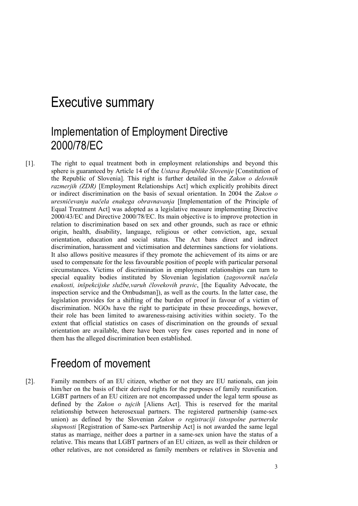## Executive summary

### Implementation of Employment Directive 2000/78/EC

[1]. The right to equal treatment both in employment relationships and beyond this sphere is guaranteed by Article 14 of the *Ustava Republike Slovenije* [Constitution of the Republic of Slovenia]. This right is further detailed in the *Zakon o delovnih razmerjih (ZDR)* [Employment Relationships Act] which explicitly prohibits direct or indirect discrimination on the basis of sexual orientation. In 2004 the *Zakon o uresničevanju načela enakega obravnavanja* [Implementation of the Principle of Equal Treatment Act] was adopted as a legislative measure implementing Directive 2000/43/EC and Directive 2000/78/EC. Its main objective is to improve protection in relation to discrimination based on sex and other grounds, such as race or ethnic origin, health, disability, language, religious or other conviction, age, sexual orientation, education and social status. The Act bans direct and indirect discrimination, harassment and victimisation and determines sanctions for violations. It also allows positive measures if they promote the achievement of its aims or are used to compensate for the less favourable position of people with particular personal circumstances. Victims of discrimination in employment relationships can turn to special equality bodies instituted by Slovenian legislation (*zagovornik načela enakosti, inšpekcijske službe,varuh človekovih pravic*, [the Equality Advocate, the inspection service and the Ombudsman]), as well as the courts. In the latter case, the legislation provides for a shifting of the burden of proof in favour of a victim of discrimination. NGOs have the right to participate in these proceedings, however, their role has been limited to awareness-raising activities within society. To the extent that official statistics on cases of discrimination on the grounds of sexual orientation are available, there have been very few cases reported and in none of them has the alleged discrimination been established.

### Freedom of movement

[2]. Family members of an EU citizen, whether or not they are EU nationals, can join him/her on the basis of their derived rights for the purposes of family reunification. LGBT partners of an EU citizen are not encompassed under the legal term spouse as defined by the *Zakon o tujcih* [Aliens Act]. This is reserved for the marital relationship between heterosexual partners. The registered partnership (same-sex union) as defined by the Slovenian *Zakon o registraciji istospolne partnerske skupnosti* [Registration of Same-sex Partnership Act] is not awarded the same legal status as marriage, neither does a partner in a same-sex union have the status of a relative. This means that LGBT partners of an EU citizen, as well as their children or other relatives, are not considered as family members or relatives in Slovenia and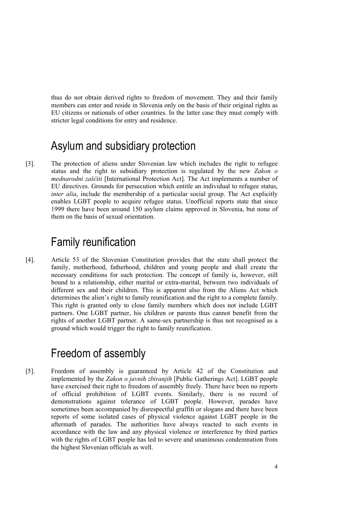thus do not obtain derived rights to freedom of movement. They and their family members can enter and reside in Slovenia only on the basis of their original rights as EU citizens or nationals of other countries. In the latter case they must comply with stricter legal conditions for entry and residence.

### Asylum and subsidiary protection

[3]. The protection of aliens under Slovenian law which includes the right to refugee status and the right to subsidiary protection is regulated by the new *Zakon o mednarodni zaščiti* [International Protection Act]. The Act implements a number of EU directives. Grounds for persecution which entitle an individual to refugee status, *inter alia*, include the membership of a particular social group. The Act explicitly enables LGBT people to acquire refugee status. Unofficial reports state that since 1999 there have been around 150 asylum claims approved in Slovenia, but none of them on the basis of sexual orientation.

### Family reunification

[4]. Article 53 of the Slovenian Constitution provides that the state shall protect the family, motherhood, fatherhood, children and young people and shall create the necessary conditions for such protection. The concept of family is, however, still bound to a relationship, either marital or extra-marital, between two individuals of different sex and their children. This is apparent also from the Aliens Act which determines the alien's right to family reunification and the right to a complete family. This right is granted only to close family members which does not include LGBT partners. One LGBT partner, his children or parents thus cannot benefit from the rights of another LGBT partner. A same-sex partnership is thus not recognised as a ground which would trigger the right to family reunification.

### Freedom of assembly

[5]. Freedom of assembly is guaranteed by Article 42 of the Constitution and implemented by the *Zakon o javnih zbiranjih* [Public Gatherings Act]. LGBT people have exercised their right to freedom of assembly freely. There have been no reports of official prohibition of LGBT events. Similarly, there is no record of demonstrations against tolerance of LGBT people. However, parades have sometimes been accompanied by disrespectful graffiti or slogans and there have been reports of some isolated cases of physical violence against LGBT people in the aftermath of parades. The authorities have always reacted to such events in accordance with the law and any physical violence or interference by third parties with the rights of LGBT people has led to severe and unanimous condemnation from the highest Slovenian officials as well.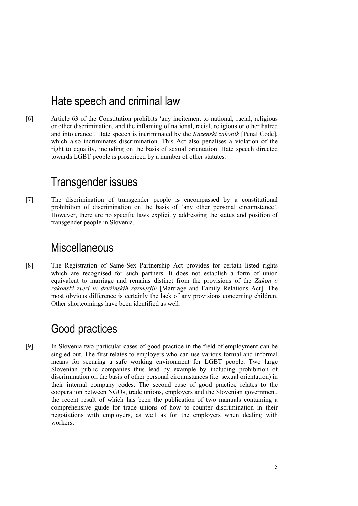### Hate speech and criminal law

[6]. Article 63 of the Constitution prohibits 'any incitement to national, racial, religious or other discrimination, and the inflaming of national, racial, religious or other hatred and intolerance'. Hate speech is incriminated by the *Kazenski zakonik* [Penal Code], which also incriminates discrimination. This Act also penalises a violation of the right to equality, including on the basis of sexual orientation. Hate speech directed towards LGBT people is proscribed by a number of other statutes.

### Transgender issues

[7]. The discrimination of transgender people is encompassed by a constitutional prohibition of discrimination on the basis of 'any other personal circumstance'. However, there are no specific laws explicitly addressing the status and position of transgender people in Slovenia.

### **Miscellaneous**

[8]. The Registration of Same-Sex Partnership Act provides for certain listed rights which are recognised for such partners. It does not establish a form of union equivalent to marriage and remains distinct from the provisions of the *Zakon o zakonski zvezi in družinskih razmerjih* [Marriage and Family Relations Act]. The most obvious difference is certainly the lack of any provisions concerning children. Other shortcomings have been identified as well.

### Good practices

[9]. In Slovenia two particular cases of good practice in the field of employment can be singled out. The first relates to employers who can use various formal and informal means for securing a safe working environment for LGBT people. Two large Slovenian public companies thus lead by example by including prohibition of discrimination on the basis of other personal circumstances (i.e. sexual orientation) in their internal company codes. The second case of good practice relates to the cooperation between NGOs, trade unions, employers and the Slovenian government, the recent result of which has been the publication of two manuals containing a comprehensive guide for trade unions of how to counter discrimination in their negotiations with employers, as well as for the employers when dealing with workers.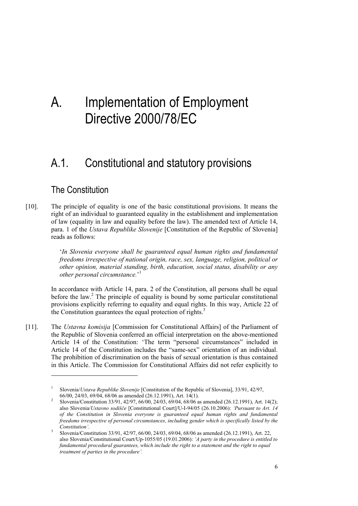## A. Implementation of Employment Directive 2000/78/EC

### A.1. Constitutional and statutory provisions

#### The Constitution

1

[10]. The principle of equality is one of the basic constitutional provisions. It means the right of an individual to guaranteed equality in the establishment and implementation of law (equality in law and equality before the law). The amended text of Article 14, para. 1 of the *Ustava Republike Slovenije* [Constitution of the Republic of Slovenia] reads as follows:

> '*In Slovenia everyone shall be guaranteed equal human rights and fundamental freedoms irrespective of national origin, race, sex, language, religion, political or other opinion, material standing, birth, education, social status, disability or any other personal circumstance.*' 1

In accordance with Article 14, para. 2 of the Constitution, all persons shall be equal before the law.<sup>2</sup> The principle of equality is bound by some particular constitutional provisions explicitly referring to equality and equal rights. In this way, Article 22 of the Constitution guarantees the equal protection of rights.<sup>3</sup>

[11]. The *Ustavna komisija* [Commission for Constitutional Affairs] of the Parliament of the Republic of Slovenia conferred an official interpretation on the above-mentioned Article 14 of the Constitution: 'The term "personal circumstances" included in Article 14 of the Constitution includes the "same-sex" orientation of an individual. The prohibition of discrimination on the basis of sexual orientation is thus contained in this Article. The Commission for Constitutional Affairs did not refer explicitly to

<sup>1</sup> Slovenia/*Ustava Republike Slovenije* [Constitution of the Republic of Slovenia], 33/91, 42/97, 66/00, 24/03, 69/04, 68/06 as amended (26.12.1991), Art. 14(1). 2

Slovenia/Constitution 33/91, 42/97, 66/00, 24/03, 69/04, 68/06 as amended (26.12.1991), Art. 14(2); also Slovenia/*Ustavno sodišče* [Constitutional Court]/U-I-94/05 (26.10.2006): *'Pursuant to Art. 14 of the Constitution in Slovenia everyone is guaranteed equal human rights and fundamental freedoms irrespective of personal circumstances, including gender which is specifically listed by the Constitution'*. 3

Slovenia/Constitution 33/91, 42/97, 66/00, 24/03, 69/04, 68/06 as amended (26.12.1991), Art. 22, also Slovenia/Constitutional Court/Up-1055/05 (19.01.2006): *'A party in the procedure is entitled to fundamental procedural guarantees, which include the right to a statement and the right to equal treatment of parties in the procedure'.*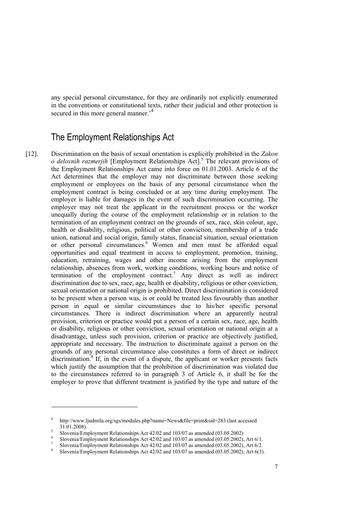any special personal circumstance, for they are ordinarily not explicitly enumerated in the conventions or constitutional texts, rather their judicial and other protection is secured in this more general manner.<sup>4</sup>

#### The Employment Relationships Act

[12]. Discrimination on the basis of sexual orientation is explicitly prohibited in the *Zakon o delovnih razmerjih* [Employment Relationships Act].<sup>5</sup> The relevant provisions of the Employment Relationships Act came into force on 01.01.2003. Article 6 of the Act determines that the employer may not discriminate between those seeking employment or employees on the basis of any personal circumstance when the employment contract is being concluded or at any time during employment. The employer is liable for damages in the event of such discrimination occurring. The employer may not treat the applicant in the recruitment process or the worker unequally during the course of the employment relationship or in relation to the termination of an employment contract on the grounds of sex, race, skin colour, age, health or disability, religious, political or other conviction, membership of a trade union, national and social origin, family status, financial situation, sexual orientation or other personal circumstances.<sup>6</sup> Women and men must be afforded equal opportunities and equal treatment in access to employment, promotion, training, education, retraining, wages and other income arising from the employment relationship, absences from work, working conditions, working hours and notice of termination of the employment contract.<sup>7</sup> Any direct as well as indirect discrimination due to sex, race, age, health or disability, religious or other conviction, sexual orientation or national origin is prohibited. Direct discrimination is considered to be present when a person was, is or could be treated less favourably than another person in equal or similar circumstances due to his/her specific personal circumstances. There is indirect discrimination where an apparently neutral provision, criterion or practice would put a person of a certain sex, race, age, health or disability, religious or other conviction, sexual orientation or national origin at a disadvantage, unless such provision, criterion or practice are objectively justified, appropriate and necessary. The instruction to discriminate against a person on the grounds of any personal circumstance also constitutes a form of direct or indirect discrimination.<sup>8</sup> If, in the event of a dispute, the applicant or worker presents facts which justify the assumption that the prohibition of discrimination was violated due to the circumstances referred to in paragraph 3 of Article 6, it shall be for the employer to prove that different treatment is justified by the type and nature of the

<sup>4</sup> http://www.ljudmila.org/sgs/modules.php?name=News&file=print&sid=283 (last accessed  $31.01.2008$ ).

S Slovenia/Employment Relationships Act  $42/02$  and  $103/07$  as amended  $(03.05.2002)$ 

Slovenia/Employment Relationships Act  $42/02$  and  $103/07$  as amended  $(03.05.2002)$ , Art  $6/1$ .

Slovenia/Employment Relationships Act  $42/02$  and  $103/07$  as amended  $(03.05.2002)$ , Art  $6/2$ .

Slovenia/Employment Relationships Act 42/02 and 103/07 as amended (03.05.2002), Art 6(3).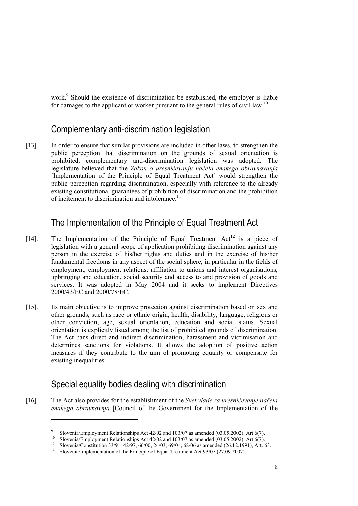work.<sup>9</sup> Should the existence of discrimination be established, the employer is liable for damages to the applicant or worker pursuant to the general rules of civil law.<sup>10</sup>

#### Complementary anti-discrimination legislation

[13]. In order to ensure that similar provisions are included in other laws, to strengthen the public perception that discrimination on the grounds of sexual orientation is prohibited, complementary anti-discrimination legislation was adopted. The legislature believed that the *Zakon o uresničevanju načela enakega obravnavanja*  [Implementation of the Principle of Equal Treatment Act] would strengthen the public perception regarding discrimination, especially with reference to the already existing constitutional guarantees of prohibition of discrimination and the prohibition of incitement to discrimination and intolerance.<sup>11</sup>

#### The Implementation of the Principle of Equal Treatment Act

- [14]. The Implementation of the Principle of Equal Treatment  $Act^{12}$  is a piece of legislation with a general scope of application prohibiting discrimination against any person in the exercise of his/her rights and duties and in the exercise of his/her fundamental freedoms in any aspect of the social sphere, in particular in the fields of employment, employment relations, affiliation to unions and interest organisations, upbringing and education, social security and access to and provision of goods and services. It was adopted in May 2004 and it seeks to implement Directives 2000/43/EC and 2000/78/EC.
- [15]. Its main objective is to improve protection against discrimination based on sex and other grounds, such as race or ethnic origin, health, disability, language, religious or other conviction, age, sexual orientation, education and social status. Sexual orientation is explicitly listed among the list of prohibited grounds of discrimination. The Act bans direct and indirect discrimination, harassment and victimisation and determines sanctions for violations. It allows the adoption of positive action measures if they contribute to the aim of promoting equality or compensate for existing inequalities.

#### Special equality bodies dealing with discrimination

<u>.</u>

[16]. The Act also provides for the establishment of the *Svet vlade za uresničevanje načela enakega obravnavnja* [Council of the Government for the Implementation of the

<sup>9</sup>

<sup>&</sup>lt;sup>9</sup> Slovenia/Employment Relationships Act 42/02 and 103/07 as amended (03.05.2002), Art 6(7).<br><sup>10</sup> Slovenia/Employment Relationships Act 42/02 and 103/07 as amended (03.05.2002), Art 6(7).<br><sup>11</sup> Slovenia/Constitution 33/91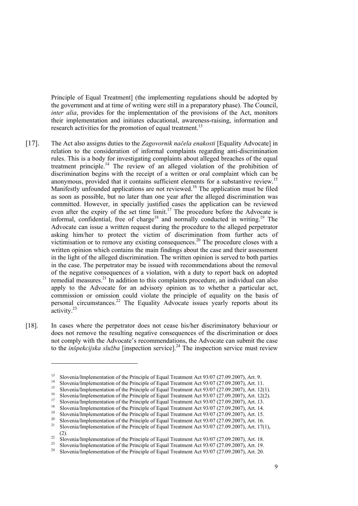Principle of Equal Treatment] (the implementing regulations should be adopted by the government and at time of writing were still in a preparatory phase). The Council, *inter alia*, provides for the implementation of the provisions of the Act, monitors their implementation and initiates educational, awareness-raising, information and research activities for the promotion of equal treatment.<sup>13</sup>

- [17]. The Act also assigns duties to the *Zagovornik načela enakosti* [Equality Advocate] in relation to the consideration of informal complaints regarding anti-discrimination rules. This is a body for investigating complaints about alleged breaches of the equal treatment principle.14 The review of an alleged violation of the prohibition of discrimination begins with the receipt of a written or oral complaint which can be anonymous, provided that it contains sufficient elements for a substantive review.15 Manifestly unfounded applications are not reviewed.<sup>16</sup> The application must be filed as soon as possible, but no later than one year after the alleged discrimination was committed. However, in specially justified cases the application can be reviewed even after the expiry of the set time limit.<sup>17</sup> The procedure before the Advocate is informal, confidential, free of charge<sup>18</sup> and normally conducted in writing.<sup>19</sup> The Advocate can issue a written request during the procedure to the alleged perpetrator asking him/her to protect the victim of discrimination from further acts of victimisation or to remove any existing consequences.<sup>20</sup> The procedure closes with a written opinion which contains the main findings about the case and their assessment in the light of the alleged discrimination. The written opinion is served to both parties in the case. The perpetrator may be issued with recommendations about the removal of the negative consequences of a violation, with a duty to report back on adopted remedial measures.21 In addition to this complaints procedure, an individual can also apply to the Advocate for an advisory opinion as to whether a particular act, commission or omission could violate the principle of equality on the basis of personal circumstances.<sup>22</sup> The Equality Advocate issues yearly reports about its activity.<sup>23</sup>
- [18]. In cases where the perpetrator does not cease his/her discriminatory behaviour or does not remove the resulting negative consequences of the discrimination or does not comply with the Advocate's recommendations, the Advocate can submit the case to the *inšpekcijska služba* [inspection service].24 The inspection service must review

<sup>&</sup>lt;sup>13</sup> Slovenia/Implementation of the Principle of Equal Treatment Act 93/07 (27.09.2007), Art. 9.<br><sup>14</sup> Slovenia/Implementation of the Principle of Equal Treatment Act 93/07 (27.09.2007), Art. 11.<br><sup>15</sup> Slovenia/Implementati

<sup>(2).&</sup>lt;br>Slovenia/Implementation of the Principle of Equal Treatment Act 93/07 (27.09.2007), Art. 18.<br>Slovenia/Implementation of the Principle of Equal Treatment Act 93/07 (27.09.2007), Art. 19.<br>Slovenia/Implementation of the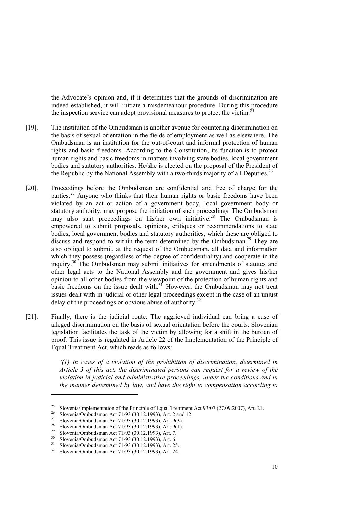the Advocate's opinion and, if it determines that the grounds of discrimination are indeed established, it will initiate a misdemeanour procedure. During this procedure the inspection service can adopt provisional measures to protect the victim.<sup>25</sup>

- [19]. The institution of the Ombudsman is another avenue for countering discrimination on the basis of sexual orientation in the fields of employment as well as elsewhere. The Ombudsman is an institution for the out-of-court and informal protection of human rights and basic freedoms. According to the Constitution, its function is to protect human rights and basic freedoms in matters involving state bodies, local government bodies and statutory authorities. He/she is elected on the proposal of the President of the Republic by the National Assembly with a two-thirds majority of all Deputies.<sup>26</sup>
- [20]. Proceedings before the Ombudsman are confidential and free of charge for the parties.<sup>27</sup> Anyone who thinks that their human rights or basic freedoms have been violated by an act or action of a government body, local government body or statutory authority, may propose the initiation of such proceedings. The Ombudsman may also start proceedings on his/her own initiative.<sup>28</sup> The Ombudsman is empowered to submit proposals, opinions, critiques or recommendations to state bodies, local government bodies and statutory authorities, which these are obliged to discuss and respond to within the term determined by the Ombudsman.<sup>29</sup> They are also obliged to submit, at the request of the Ombudsman, all data and information which they possess (regardless of the degree of confidentiality) and cooperate in the inquiry.30 The Ombudsman may submit initiatives for amendments of statutes and other legal acts to the National Assembly and the government and gives his/her opinion to all other bodies from the viewpoint of the protection of human rights and basic freedoms on the issue dealt with. $3<sup>1</sup>$  However, the Ombudsman may not treat issues dealt with in judicial or other legal proceedings except in the case of an unjust delay of the proceedings or obvious abuse of authority.<sup>32</sup>
- [21]. Finally, there is the judicial route. The aggrieved individual can bring a case of alleged discrimination on the basis of sexual orientation before the courts. Slovenian legislation facilitates the task of the victim by allowing for a shift in the burden of proof. This issue is regulated in Article 22 of the Implementation of the Principle of Equal Treatment Act, which reads as follows:

*'(1) In cases of a violation of the prohibition of discrimination, determined in Article 3 of this act, the discriminated persons can request for a review of the violation in judicial and administrative proceedings, under the conditions and in the manner determined by law, and have the right to compensation according to* 

<sup>&</sup>lt;sup>25</sup> Slovenia/Implementation of the Principle of Equal Treatment Act 93/07 (27.09.2007), Art. 21.<br><sup>26</sup> Slovenia/Ombudsman Act 71/93 (30.12.1993), Art. 2 and 12.<br><sup>27</sup> Slovenia/Ombudsman Act 71/93 (30.12.1993), Art. 9(3).<br><sup></sup>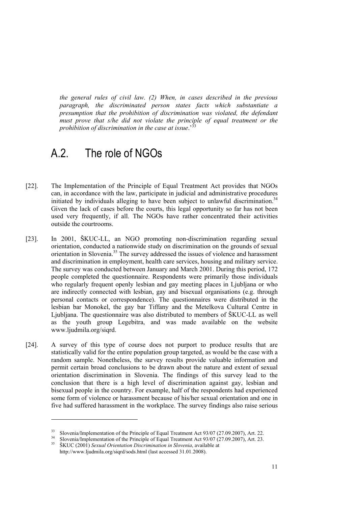*the general rules of civil law. (2) When, in cases described in the previous paragraph, the discriminated person states facts which substantiate a presumption that the prohibition of discrimination was violated, the defendant must prove that s/he did not violate the principle of equal treatment or the prohibition of discrimination in the case at issue.*<sup>33</sup>

### A.2. The role of NGOs

- [22]. The Implementation of the Principle of Equal Treatment Act provides that NGOs can, in accordance with the law, participate in judicial and administrative procedures initiated by individuals alleging to have been subject to unlawful discrimination.<sup>34</sup> Given the lack of cases before the courts, this legal opportunity so far has not been used very frequently, if all. The NGOs have rather concentrated their activities outside the courtrooms.
- [23]. In 2001, ŠKUC-LL, an NGO promoting non-discrimination regarding sexual orientation, conducted a nationwide study on discrimination on the grounds of sexual orientation in Slovenia.<sup>35</sup> The survey addressed the issues of violence and harassment and discrimination in employment, health care services, housing and military service. The survey was conducted between January and March 2001. During this period, 172 people completed the questionnaire. Respondents were primarily those individuals who regularly frequent openly lesbian and gay meeting places in Ljubljana or who are indirectly connected with lesbian, gay and bisexual organisations (e.g. through personal contacts or correspondence). The questionnaires were distributed in the lesbian bar Monokel, the gay bar Tiffany and the Metelkova Cultural Centre in Ljubljana. The questionnaire was also distributed to members of ŠKUC-LL as well as the youth group Legebitra, and was made available on the website www.ljudmila.org/siqrd.
- [24]. A survey of this type of course does not purport to produce results that are statistically valid for the entire population group targeted, as would be the case with a random sample. Nonetheless, the survey results provide valuable information and permit certain broad conclusions to be drawn about the nature and extent of sexual orientation discrimination in Slovenia. The findings of this survey lead to the conclusion that there is a high level of discrimination against gay, lesbian and bisexual people in the country. For example, half of the respondents had experienced some form of violence or harassment because of his/her sexual orientation and one in five had suffered harassment in the workplace. The survey findings also raise serious

<sup>&</sup>lt;sup>33</sup> Slovenia/Implementation of the Principle of Equal Treatment Act 93/07 (27.09.2007), Art. 22.<br><sup>34</sup> Slovenia/Implementation of the Principle of Equal Treatment Act 93/07 (27.09.2007), Art. 23.<br><sup>35</sup> ŠKUC (2001) Sexual O

http://www.ljudmila.org/siqrd/sods.html (last accessed 31.01.2008).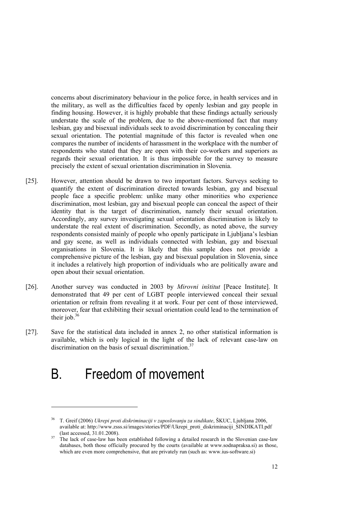concerns about discriminatory behaviour in the police force, in health services and in the military, as well as the difficulties faced by openly lesbian and gay people in finding housing. However, it is highly probable that these findings actually seriously understate the scale of the problem, due to the above-mentioned fact that many lesbian, gay and bisexual individuals seek to avoid discrimination by concealing their sexual orientation. The potential magnitude of this factor is revealed when one compares the number of incidents of harassment in the workplace with the number of respondents who stated that they are open with their co-workers and superiors as regards their sexual orientation. It is thus impossible for the survey to measure precisely the extent of sexual orientation discrimination in Slovenia.

- [25]. However, attention should be drawn to two important factors. Surveys seeking to quantify the extent of discrimination directed towards lesbian, gay and bisexual people face a specific problem: unlike many other minorities who experience discrimination, most lesbian, gay and bisexual people can conceal the aspect of their identity that is the target of discrimination, namely their sexual orientation. Accordingly, any survey investigating sexual orientation discrimination is likely to understate the real extent of discrimination. Secondly, as noted above, the survey respondents consisted mainly of people who openly participate in Ljubljana's lesbian and gay scene, as well as individuals connected with lesbian, gay and bisexual organisations in Slovenia. It is likely that this sample does not provide a comprehensive picture of the lesbian, gay and bisexual population in Slovenia, since it includes a relatively high proportion of individuals who are politically aware and open about their sexual orientation.
- [26]. Another survey was conducted in 2003 by *Mirovni inštitut* [Peace Institute]. It demonstrated that 49 per cent of LGBT people interviewed conceal their sexual orientation or refrain from revealing it at work. Four per cent of those interviewed, moreover, fear that exhibiting their sexual orientation could lead to the termination of their job. $36$
- [27]. Save for the statistical data included in annex 2, no other statistical information is available, which is only logical in the light of the lack of relevant case-law on discrimination on the basis of sexual discrimination.<sup>37</sup>

## B. Freedom of movement

<sup>36</sup> T. Greif (2006) *Ukrepi proti diskriminaciji v zaposlovanju za sindikate*, ŠKUC, Ljubljana 2006, available at: http://www.zsss.si/images/stories/PDF/Ukrepi\_proti\_diskriminaciji\_SINDIKATI.pdf (last accessed,  $31.01.2008$ ).<br><sup>37</sup> The lack of case-law has been established following a detailed research in the Slovenian case-law

databases, both those officially procured by the courts (available at www.sodnapraksa.si) as those, which are even more comprehensive, that are privately run (such as: www.ius-software.si)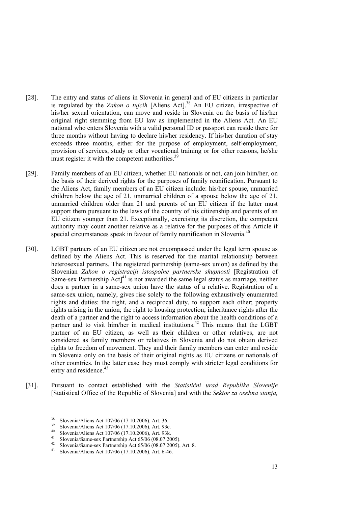- [28]. The entry and status of aliens in Slovenia in general and of EU citizens in particular is regulated by the *Zakon o tujcih* [Aliens Act].38 An EU citizen, irrespective of his/her sexual orientation, can move and reside in Slovenia on the basis of his/her original right stemming from EU law as implemented in the Aliens Act. An EU national who enters Slovenia with a valid personal ID or passport can reside there for three months without having to declare his/her residency. If his/her duration of stay exceeds three months, either for the purpose of employment, self-employment, provision of services, study or other vocational training or for other reasons, he/she must register it with the competent authorities.<sup>39</sup>
- [29]. Family members of an EU citizen, whether EU nationals or not, can join him/her, on the basis of their derived rights for the purposes of family reunification. Pursuant to the Aliens Act, family members of an EU citizen include: his/her spouse, unmarried children below the age of 21, unmarried children of a spouse below the age of 21, unmarried children older than 21 and parents of an EU citizen if the latter must support them pursuant to the laws of the country of his citizenship and parents of an EU citizen younger than 21. Exceptionally, exercising its discretion, the competent authority may count another relative as a relative for the purposes of this Article if special circumstances speak in favour of family reunification in Slovenia.<sup>40</sup>
- [30]. LGBT partners of an EU citizen are not encompassed under the legal term spouse as defined by the Aliens Act. This is reserved for the marital relationship between heterosexual partners. The registered partnership (same-sex union) as defined by the Slovenian *Zakon o registraciji istospolne partnerske skupnosti* [Registration of Same-sex Partnership  $Act<sup>41</sup>$  is not awarded the same legal status as marriage, neither does a partner in a same-sex union have the status of a relative. Registration of a same-sex union, namely, gives rise solely to the following exhaustively enumerated rights and duties: the right, and a reciprocal duty, to support each other; property rights arising in the union; the right to housing protection; inheritance rights after the death of a partner and the right to access information about the health conditions of a partner and to visit him/her in medical institutions.<sup>42</sup> This means that the LGBT partner of an EU citizen, as well as their children or other relatives, are not considered as family members or relatives in Slovenia and do not obtain derived rights to freedom of movement. They and their family members can enter and reside in Slovenia only on the basis of their original rights as EU citizens or nationals of other countries. In the latter case they must comply with stricter legal conditions for entry and residence.<sup>43</sup>
- [31]. Pursuant to contact established with the *Statistični urad Republike Slovenije* [Statistical Office of the Republic of Slovenia] and with the *Sektor za osebna stanja,*

<u>.</u>

<sup>&</sup>lt;sup>38</sup> Slovenia/Aliens Act 107/06 (17.10.2006), Art. 36.<br><sup>39</sup> Slovenia/Aliens Act 107/06 (17.10.2006), Art. 93c.<br><sup>40</sup> Slovenia/Aliens Act 107/06 (17.10.2006), Art. 93k.<br><sup>41</sup> Slovenia/Same-sex Partnership Act 65/06 (08.07.20

<sup>&</sup>lt;sup>42</sup> Slovenia/Same-sex Partnership Act 65/06 (08.07.2005), Art. 8.<br><sup>43</sup> Slovenia/Aliens Act 107/06 (17.10.2006), Art. 6-46.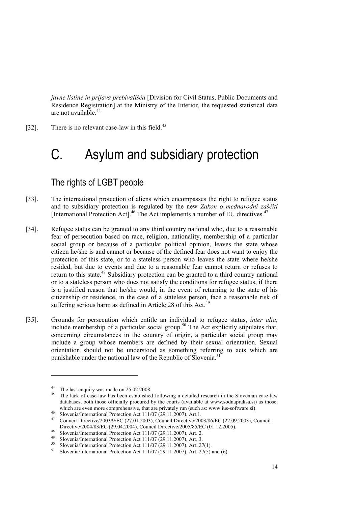*javne listine in prijava prebivališča* [Division for Civil Status, Public Documents and Residence Registration] at the Ministry of the Interior, the requested statistical data are not available.<sup>44</sup>

[32]. There is no relevant case-law in this field.<sup>45</sup>

# C. Asylum and subsidiary protection

### The rights of LGBT people

- [33]. The international protection of aliens which encompasses the right to refugee status and to subsidiary protection is regulated by the new *Zakon o mednarodni zaščiti* [International Protection Act].46 The Act implements a number of EU directives.47
- [34]. Refugee status can be granted to any third country national who, due to a reasonable fear of persecution based on race, religion, nationality, membership of a particular social group or because of a particular political opinion, leaves the state whose citizen he/she is and cannot or because of the defined fear does not want to enjoy the protection of this state, or to a stateless person who leaves the state where he/she resided, but due to events and due to a reasonable fear cannot return or refuses to return to this state.<sup>48</sup> Subsidiary protection can be granted to a third country national or to a stateless person who does not satisfy the conditions for refugee status, if there is a justified reason that he/she would, in the event of returning to the state of his citizenship or residence, in the case of a stateless person, face a reasonable risk of suffering serious harm as defined in Article 28 of this Act.<sup>49</sup>
- [35]. Grounds for persecution which entitle an individual to refugee status, *inter alia*, include membership of a particular social group.<sup>50</sup> The Act explicitly stipulates that, concerning circumstances in the country of origin, a particular social group may include a group whose members are defined by their sexual orientation. Sexual orientation should not be understood as something referring to acts which are punishable under the national law of the Republic of Slovenia.<sup>51</sup>

<sup>&</sup>lt;sup>44</sup> The last enquiry was made on  $25.02.2008$ .

<sup>45</sup> The lack of case-law has been established following a detailed research in the Slovenian case-law databases, both those officially procured by the courts (available at www.sodnapraksa.si) as those,

which are even more comprehensive, that are privately run (such as: www.ius-software.si).<br>
Slovenia/International Protection Act 111/07 (29.11.2007), Art.1.<br>
Council Directive/2003/9/EC (27.01.2003), Council Directive/2003 Directive/2004/83/EC (29.04.2004), Council Directive/2005/85/EC (01.12.2005).<br>
Slovenia/International Protection Act 111/07 (29.11.2007), Art. 2.<br>
<sup>49</sup> Slovenia/International Protection Act 111/07 (29.11.2007), Art. 3.<br>
<sup>5</sup>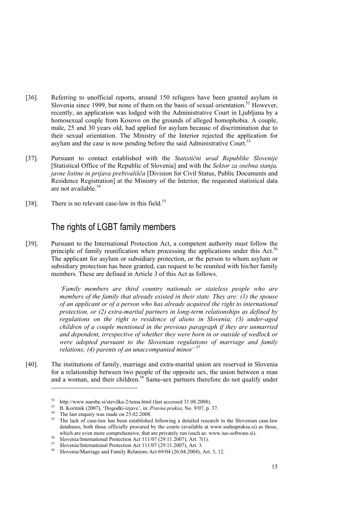- [36]. Referring to unofficial reports, around 150 refugees have been granted asylum in Slovenia since 1999, but none of them on the basis of sexual orientation.<sup>52</sup> However, recently, an application was lodged with the Administrative Court in Ljubljana by a homosexual couple from Kosovo on the grounds of alleged homophobia. A couple, male, 25 and 30 years old, had applied for asylum because of discrimination due to their sexual orientation. The Ministry of the Interior rejected the application for asylum and the case is now pending before the said Administrative Court.<sup>53</sup>
- [37]. Pursuant to contact established with the *Statistični urad Republike Slovenije* [Statistical Office of the Republic of Slovenia] and with the *Sektor za osebna stanja, javne listine in prijava prebivališča* [Division for Civil Status, Public Documents and Residence Registration] at the Ministry of the Interior, the requested statistical data are not available.<sup>54</sup>
- [38]. There is no relevant case-law in this field.<sup>55</sup>

#### The rights of LGBT family members

[39]. Pursuant to the International Protection Act, a competent authority must follow the principle of family reunification when processing the applications under this Act.<sup>56</sup> The applicant for asylum or subsidiary protection, or the person to whom asylum or subsidiary protection has been granted, can request to be reunited with his/her family members. These are defined in Article 3 of this Act as follows.

> *'Family members are third country nationals or stateless people who are members of the family that already existed in their state. They are: (1) the spouse of an applicant or of a person who has already acquired the right to international protection, or (2) extra-marital partners in long-term relationships as defined by regulations on the right to residence of aliens in Slovenia; (3) under-aged children of a couple mentioned in the previous paragraph if they are unmarried and dependent, irrespective of whether they were born in or outside of wedlock or were adopted pursuant to the Slovenian regulations of marriage and family relations; (4) parents of an unaccompanied minor'* <sup>57</sup>

[40]. The institutions of family, marriage and extra-marital union are reserved in Slovenia for a relationship between two people of the opposite sex, the union between a man and a woman, and their children.<sup>58</sup> Same-sex partners therefore do not qualify under

52 http://www.narobe.si/stevilka-2/tema.html (last accessed 31.08.2008). 53 B. Koritnik (2007), 'Dogodki-izjave', in: *Pravna praksa*, No. 9/07, p. 37. 54 The last enquiry was made on 25.02.2008.

<sup>&</sup>lt;sup>55</sup> The lack of case-law has been established following a detailed research in the Slovenian case-law databases, both those officially procured by the courts (available at www.sodnapraksa.si) as those, which are even more comprehensive, that are privately run (such as: www.ius-software.si).<br>
Slovenia/International Protection Act 111/07 (29.11.2007), Art. 7(1).<br>
Slovenia/International Protection Act 111/07 (29.11.2007),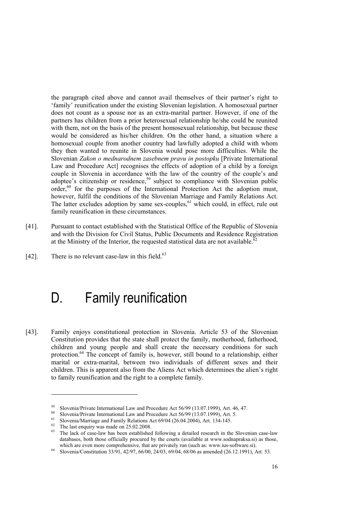the paragraph cited above and cannot avail themselves of their partner's right to 'family' reunification under the existing Slovenian legislation. A homosexual partner does not count as a spouse nor as an extra-marital partner. However, if one of the partners has children from a prior heterosexual relationship he/she could be reunited with them, not on the basis of the present homosexual relationship, but because these would be considered as his/her children. On the other hand, a situation where a homosexual couple from another country had lawfully adopted a child with whom they then wanted to reunite in Slovenia would pose more difficulties. While the Slovenian *Zakon o mednarodnem zasebnem pravu in postopku* [Private International Law and Procedure Act] recognises the effects of adoption of a child by a foreign couple in Slovenia in accordance with the law of the country of the couple's and adoptee's citizenship or residence,<sup>59</sup> subject to compliance with Slovenian public order,<sup>60</sup> for the purposes of the International Protection Act the adoption must, however, fulfil the conditions of the Slovenian Marriage and Family Relations Act. The latter excludes adoption by same sex-couples,  $61$  which could, in effect, rule out family reunification in these circumstances.

- [41]. Pursuant to contact established with the Statistical Office of the Republic of Slovenia and with the Division for Civil Status, Public Documents and Residence Registration at the Ministry of the Interior, the requested statistical data are not available.<sup>62</sup>
- [42]. There is no relevant case-law in this field. $63$

## D. Family reunification

[43]. Family enjoys constitutional protection in Slovenia. Article 53 of the Slovenian Constitution provides that the state shall protect the family, motherhood, fatherhood, children and young people and shall create the necessary conditions for such protection.<sup>64</sup> The concept of family is, however, still bound to a relationship, either marital or extra-marital, between two individuals of different sexes and their children. This is apparent also from the Aliens Act which determines the alien's right to family reunification and the right to a complete family.

<sup>&</sup>lt;sup>59</sup> Slovenia/Private International Law and Procedure Act 56/99 (13.07.1999), Art. 46, 47.<br><sup>60</sup> Slovenia/Private International Law and Procedure Act 56/99 (13.07.1999), Art. 5.<br><sup>61</sup> Slovenia/Marriage and Family Relations

The lack of case-law has been established following a detailed research in the Slovenian case-law databases, both those officially procured by the courts (available at www.sodnapraksa.si) as those,

which are even more comprehensive, that are privately run (such as: www.ius-software.si).<br><sup>64</sup> Slovenia/Constitution 33/91, 42/97, 66/00, 24/03, 69/04, 68/06 as amended (26.12.1991), Art. 53.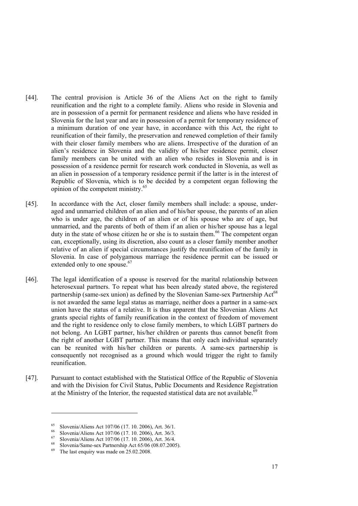- [44]. The central provision is Article 36 of the Aliens Act on the right to family reunification and the right to a complete family. Aliens who reside in Slovenia and are in possession of a permit for permanent residence and aliens who have resided in Slovenia for the last year and are in possession of a permit for temporary residence of a minimum duration of one year have, in accordance with this Act, the right to reunification of their family, the preservation and renewed completion of their family with their closer family members who are aliens. Irrespective of the duration of an alien's residence in Slovenia and the validity of his/her residence permit, closer family members can be united with an alien who resides in Slovenia and is in possession of a residence permit for research work conducted in Slovenia, as well as an alien in possession of a temporary residence permit if the latter is in the interest of Republic of Slovenia, which is to be decided by a competent organ following the opinion of the competent ministry.65
- [45]. In accordance with the Act, closer family members shall include: a spouse, underaged and unmarried children of an alien and of his/her spouse, the parents of an alien who is under age, the children of an alien or of his spouse who are of age, but unmarried, and the parents of both of them if an alien or his/her spouse has a legal duty in the state of whose citizen he or she is to sustain them.<sup>66</sup> The competent organ can, exceptionally, using its discretion, also count as a closer family member another relative of an alien if special circumstances justify the reunification of the family in Slovenia. In case of polygamous marriage the residence permit can be issued or extended only to one spouse.<sup>67</sup>
- [46]. The legal identification of a spouse is reserved for the marital relationship between heterosexual partners. To repeat what has been already stated above, the registered partnership (same-sex union) as defined by the Slovenian Same-sex Partnership Act<sup>68</sup> is not awarded the same legal status as marriage, neither does a partner in a same-sex union have the status of a relative. It is thus apparent that the Slovenian Aliens Act grants special rights of family reunification in the context of freedom of movement and the right to residence only to close family members, to which LGBT partners do not belong. An LGBT partner, his/her children or parents thus cannot benefit from the right of another LGBT partner. This means that only each individual separately can be reunited with his/her children or parents. A same-sex partnership is consequently not recognised as a ground which would trigger the right to family reunification.
- [47]. Pursuant to contact established with the Statistical Office of the Republic of Slovenia and with the Division for Civil Status, Public Documents and Residence Registration at the Ministry of the Interior, the requested statistical data are not available.<sup>69</sup>

<sup>&</sup>lt;sup>65</sup> Slovenia/Aliens Act 107/06 (17. 10. 2006), Art. 36/1.<br><sup>66</sup> Slovenia/Aliens Act 107/06 (17. 10. 2006), Art. 36/3.

<sup>66</sup> Slovenia/Aliens Act 107/06 (17. 10. 2006), Art. 36/3.<br>
<sup>67</sup> Slovenia/Aliens Act 107/06 (17. 10. 2006), Art. 36/4.<br>
<sup>68</sup> Slovenia/Same-sex Partnership Act 65/06 (08.07.2005).<br>
<sup>69</sup> The latter against mass and the state

The last enquiry was made on 25.02.2008.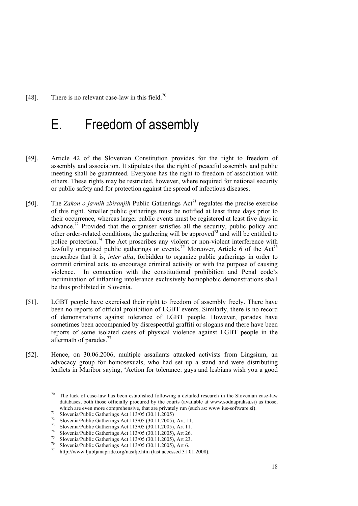[48]. There is no relevant case-law in this field.<sup>70</sup>

## E. Freedom of assembly

- [49]. Article 42 of the Slovenian Constitution provides for the right to freedom of assembly and association. It stipulates that the right of peaceful assembly and public meeting shall be guaranteed. Everyone has the right to freedom of association with others. These rights may be restricted, however, where required for national security or public safety and for protection against the spread of infectious diseases.
- [50]. The *Zakon o javnih zbiranjih* Public Gatherings  $\text{Act}^7$  regulates the precise exercise of this right. Smaller public gatherings must be notified at least three days prior to their occurrence, whereas larger public events must be registered at least five days in advance.<sup>72</sup> Provided that the organiser satisfies all the security, public policy and other order-related conditions, the gathering will be approved<sup>73</sup> and will be entitled to police protection.<sup>74</sup> The Act proscribes any violent or non-violent interference with lawfully organised public gatherings or events.<sup>75</sup> Moreover, Article 6 of the Act<sup>76</sup> prescribes that it is, *inter alia*, forbidden to organize public gatherings in order to commit criminal acts, to encourage criminal activity or with the purpose of causing violence. In connection with the constitutional prohibition and Penal code's incrimination of inflaming intolerance exclusively homophobic demonstrations shall be thus prohibited in Slovenia.
- [51]. LGBT people have exercised their right to freedom of assembly freely. There have been no reports of official prohibition of LGBT events. Similarly, there is no record of demonstrations against tolerance of LGBT people. However, parades have sometimes been accompanied by disrespectful graffiti or slogans and there have been reports of some isolated cases of physical violence against LGBT people in the aftermath of parades.<sup>77</sup>
- [52]. Hence, on 30.06.2006, multiple assailants attacked activists from Lingsium, an advocacy group for homosexuals, who had set up a stand and were distributing leaflets in Maribor saying, 'Action for tolerance: gays and lesbians wish you a good

 $70$  The lack of case-law has been established following a detailed research in the Slovenian case-law databases, both those officially procured by the courts (available at www.sodnapraksa.si) as those, which are even more comprehensive, that are privately run (such as: www.ius-software.si).<br>Slovenia/Public Gatherings Act 113/05 (30.11.2005)

<sup>&</sup>lt;sup>72</sup> Slovenia/Public Gatherings Act 113/05 (30.11.2005), Art. 11.<br><sup>73</sup> Slovenia/Public Gatherings Act 113/05 (30.11.2005), Art 11.<br><sup>74</sup> Slovenia/Public Gatherings Act 113/05 (30.11.2005), Art 26.<br><sup>75</sup> Slovenia/Public Gath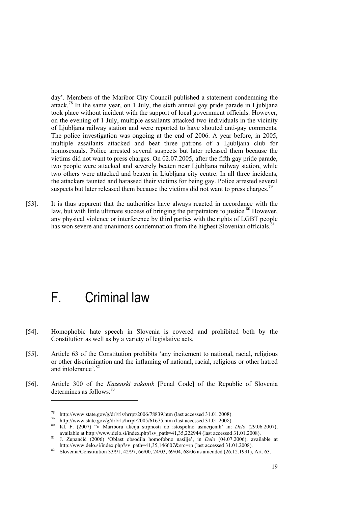day'. Members of the Maribor City Council published a statement condemning the attack.<sup>78</sup> In the same year, on 1 July, the sixth annual gay pride parade in Ljubljana took place without incident with the support of local government officials. However, on the evening of 1 July, multiple assailants attacked two individuals in the vicinity of Ljubljana railway station and were reported to have shouted anti-gay comments. The police investigation was ongoing at the end of 2006. A year before, in 2005, multiple assailants attacked and beat three patrons of a Ljubljana club for homosexuals. Police arrested several suspects but later released them because the victims did not want to press charges. On 02.07.2005, after the fifth gay pride parade, two people were attacked and severely beaten near Ljubljana railway station, while two others were attacked and beaten in Ljubljana city centre. In all three incidents, the attackers taunted and harassed their victims for being gay. Police arrested several suspects but later released them because the victims did not want to press charges.<sup>79</sup>

[53]. It is thus apparent that the authorities have always reacted in accordance with the law, but with little ultimate success of bringing the perpetrators to justice.<sup>80</sup> However, any physical violence or interference by third parties with the rights of LGBT people has won severe and unanimous condemnation from the highest Slovenian officials.<sup>8</sup>

## F. Criminal law

- [54]. Homophobic hate speech in Slovenia is covered and prohibited both by the Constitution as well as by a variety of legislative acts.
- [55]. Article 63 of the Constitution prohibits 'any incitement to national, racial, religious or other discrimination and the inflaming of national, racial, religious or other hatred and intolerance'.<sup>82</sup>
- [56]. Article 300 of the *Kazenski zakonik* [Penal Code] of the Republic of Slovenia determines as follows<sup>83</sup>

<sup>&</sup>lt;sup>78</sup> http://www.state.gov/g/drl/rls/hrrpt/2006/78839.htm (last accessed 31.01.2008).<br><sup>79</sup> http://www.state.gov/g/drl/rls/hrrpt/2005/61675.htm (last accessed 31.01.2008).<br><sup>80</sup> Kl. F. (2007) 'V Mariboru akcija strpnosti do

available at http://www.delo.si/index.php?sv\_path=41,35,222944 (last accessed 31.01.2008).<br><sup>81</sup> J. Zupančič (2006) 'Oblast obsodila homofobno nasilje', in *Delo* (04.07.2006), available at http://www.delo.si/index.php?sv p

 $h_2$  Slovenia/Constitution 33/91, 42/97, 66/00, 24/03, 69/04, 68/06 as amended (26.12.1991), Art. 63.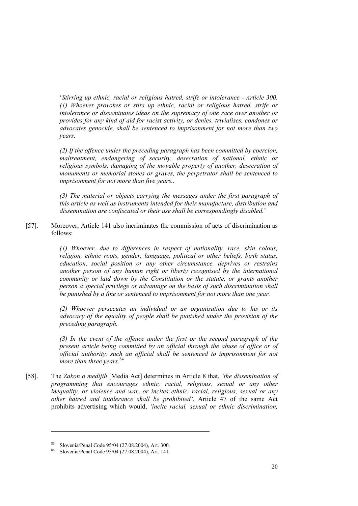'*Stirring up ethnic, racial or religious hatred, strife or intolerance - Article 300. (1) Whoever provokes or stirs up ethnic, racial or religious hatred, strife or intolerance or disseminates ideas on the supremacy of one race over another or provides for any kind of aid for racist activity, or denies, trivialises, condones or advocates genocide, shall be sentenced to imprisonment for not more than two years.* 

*(2) If the offence under the preceding paragraph has been committed by coercion, maltreatment, endangering of security, desecration of national, ethnic or religious symbols, damaging of the movable property of another, desecration of monuments or memorial stones or graves, the perpetrator shall be sentenced to imprisonment for not more than five years..* 

*(3) The material or objects carrying the messages under the first paragraph of this article as well as instruments intended for their manufacture, distribution and dissemination are confiscated or their use shall be correspondingly disabled.*'

[57]. Moreover, Article 141 also incriminates the commission of acts of discrimination as follows:

> *(1) Whoever, due to differences in respect of nationality, race, skin colour, religion, ethnic roots, gender, language, political or other beliefs, birth status, education, social position or any other circumstance, deprives or restrains another person of any human right or liberty recognised by the international community or laid down by the Constitution or the statute, or grants another person a special privilege or advantage on the basis of such discrimination shall be punished by a fine or sentenced to imprisonment for not more than one year.*

> *(2) Whoever persecutes an individual or an organisation due to his or its advocacy of the equality of people shall be punished under the provision of the preceding paragraph.*

> *(3) In the event of the offence under the first or the second paragraph of the present article being committed by an official through the abuse of office or of official authority, such an official shall be sentenced to imprisonment for not more than three years.*<sup>84</sup>

[58]. The *Zakon o medijih* [Media Act] determines in Article 8 that, *'the dissemination of programming that encourages ethnic, racial, religious, sexual or any other inequality, or violence and war, or incites ethnic, racial, religious, sexual or any other hatred and intolerance shall be prohibited'*. Article 47 of the same Act prohibits advertising which would, *'incite racial, sexual or ethnic discrimination,* 

<sup>81</sup> Slovenia/Penal Code 95/04 (27.08.2004), Art. 300. 81 Slovenia/Penal Code 95/04 (27.08.2004), Art. 141.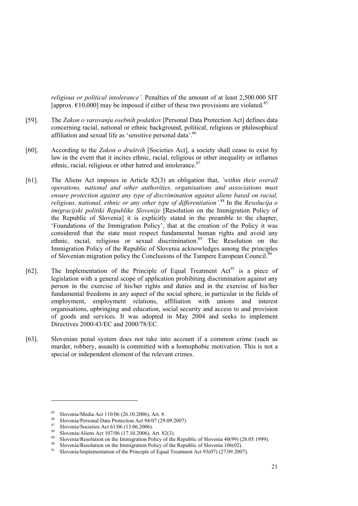*religious or political intolerance'*. Penalties of the amount of at least 2,500.000 SIT [approx.  $\epsilon$ 10,000] may be imposed if either of these two provisions are violated.<sup>85</sup>

- [59]. The *Zakon o varovanju osebnih podatkov* [Personal Data Protection Act] defines data concerning racial, national or ethnic background, political, religious or philosophical affiliation and sexual life as 'sensitive personal data'.<sup>86</sup>
- [60]. According to the *Zakon o društvih* [Societies Act], a society shall cease to exist by law in the event that it incites ethnic, racial, religious or other inequality or inflames ethnic, racial, religious or other hatred and intolerance.<sup>87</sup>
- [61]. The Aliens Act imposes in Article 82(3) an obligation that, *'within their overall operations, national and other authorities, organisations and associations must ensure protection against any type of discrimination against aliens based on racial, religious, national, ethnic or any other type of differentiation'*. 88 In the *Resolucija o imigracijski politiki Republike Slovenije* [Resolution on the Immigration Policy of the Republic of Slovenia] it is explicitly stated in the preamble to the chapter, 'Foundations of the Immigration Policy', that at the creation of the Policy it was considered that the state must respect fundamental human rights and avoid any ethnic, racial, religious or sexual discrimination.<sup>89</sup> The Resolution on the Immigration Policy of the Republic of Slovenia acknowledges among the principles of Slovenian migration policy the Conclusions of the Tampere European Council.<sup>90</sup>
- [62]. The Implementation of the Principle of Equal Treatment  $Act^{91}$  is a piece of legislation with a general scope of application prohibiting discrimination against any person in the exercise of his/her rights and duties and in the exercise of his/her fundamental freedoms in any aspect of the social sphere, in particular in the fields of employment, employment relations, affiliation with unions and interest organisations, upbringing and education, social security and access to and provision of goods and services. It was adopted in May 2004 and seeks to implement Directives 2000/43/EC and 2000/78/EC.
- [63]. Slovenian penal system does not take into account if a common crime (such as murder, robbery, assault) is committed with a homophobic motivation. This is not a special or independent element of the relevant crimes.

<sup>&</sup>lt;sup>85</sup> Slovenia/Media Act 110/06 (26.10.2006), Art. 8.<br><sup>86</sup> Slovenia/Personal Data Protection Act 94/07 (29.09.2007)<br><sup>87</sup> Slovenia/Societies Act 61/06 (13.06.2006).<br><sup>87</sup> Slovenia/Aliens Act 107/06 (17.10.2006), Art. 82(3).<br>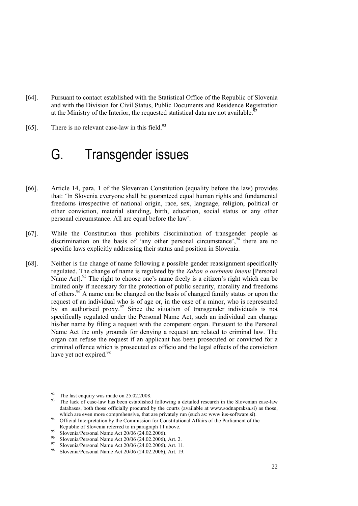- [64]. Pursuant to contact established with the Statistical Office of the Republic of Slovenia and with the Division for Civil Status, Public Documents and Residence Registration at the Ministry of the Interior, the requested statistical data are not available.<sup>92</sup>
- [65]. There is no relevant case-law in this field. $93$

## G. Transgender issues

- [66]. Article 14, para. 1 of the Slovenian Constitution (equality before the law) provides that: 'In Slovenia everyone shall be guaranteed equal human rights and fundamental freedoms irrespective of national origin, race, sex, language, religion, political or other conviction, material standing, birth, education, social status or any other personal circumstance. All are equal before the law'.
- [67]. While the Constitution thus prohibits discrimination of transgender people as discrimination on the basis of 'any other personal circumstance',  $94$  there are no specific laws explicitly addressing their status and position in Slovenia.
- [68]. Neither is the change of name following a possible gender reassignment specifically regulated. The change of name is regulated by the *Zakon o osebnem imenu* [Personal Name Act].<sup>95</sup> The right to choose one's name freely is a citizen's right which can be limited only if necessary for the protection of public security, morality and freedoms of others.96 A name can be changed on the basis of changed family status or upon the request of an individual who is of age or, in the case of a minor, who is represented by an authorised proxy.<sup>97</sup> Since the situation of transgender individuals is not specifically regulated under the Personal Name Act, such an individual can change his/her name by filing a request with the competent organ. Pursuant to the Personal Name Act the only grounds for denying a request are related to criminal law. The organ can refuse the request if an applicant has been prosecuted or convicted for a criminal offence which is prosecuted ex officio and the legal effects of the conviction have yet not expired.<sup>98</sup>

 $^{92}$  The last enquiry was made on 25.02.2008.

The lack of case-law has been established following a detailed research in the Slovenian case-law databases, both those officially procured by the courts (available at www.sodnapraksa.si) as those,

which are even more comprehensive, that are privately run (such as: www.ius-software.si).<br>94 Official Interpretation by the Commission for Constitutional Affairs of the Parliament of the Republic of Slovenia referred to in paragraph 11 above.<br>
Slovenia/Personal Name Act 20/06 (24.02.2006).<br>
96 Slovenia/Personal Name Act 20/06 (24.02.2006), Art. 2.<br>
97 Slovenia/Personal Name Act 20/06 (24.02.2006), Art. 11.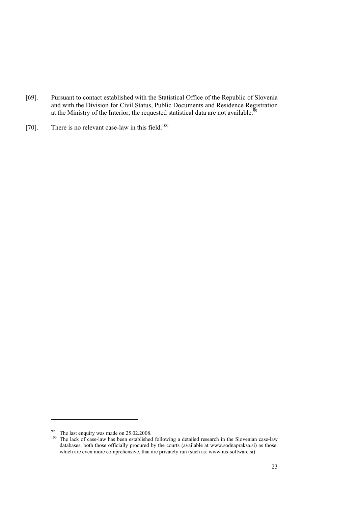- [69]. Pursuant to contact established with the Statistical Office of the Republic of Slovenia and with the Division for Civil Status, Public Documents and Residence Registration at the Ministry of the Interior, the requested statistical data are not available.<sup>99</sup>
- [70]. There is no relevant case-law in this field.<sup>100</sup>

<sup>&</sup>lt;sup>99</sup> The last enquiry was made on 25.02.2008.

<sup>&</sup>lt;sup>100</sup> The lack of case-law has been established following a detailed research in the Slovenian case-law databases, both those officially procured by the courts (available at www.sodnapraksa.si) as those, which are even more comprehensive, that are privately run (such as: www.ius-software.si).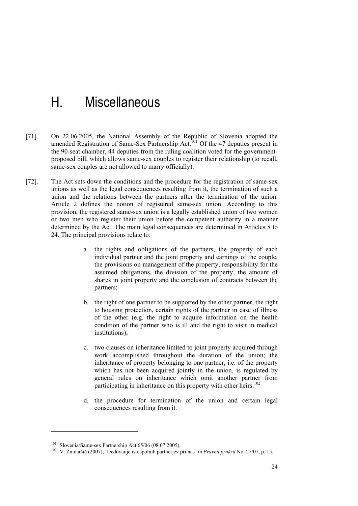## H. Miscellaneous

- [71]. On 22.06.2005, the National Assembly of the Republic of Slovenia adopted the amended Registration of Same-Sex Partnership Act.<sup>101</sup> Of the 47 deputies present in the 90-seat chamber, 44 deputies from the ruling coalition voted for the governmentproposed bill, which allows same-sex couples to register their relationship (to recall, same-sex couples are not allowed to marry officially).
- [72]. The Act sets down the conditions and the procedure for the registration of same-sex unions as well as the legal consequences resulting from it, the termination of such a union and the relations between the partners after the termination of the union. Article 2 defines the notion of registered same-sex union. According to this provision, the registered same-sex union is a legally established union of two women or two men who register their union before the competent authority in a manner determined by the Act. The main legal consequences are determined in Articles 8 to 24. The principal provisions relate to:
	- a. the rights and obligations of the partners, the property of each individual partner and the joint property and earnings of the couple, the provisions on management of the property, responsibility for the assumed obligations, the division of the property, the amount of shares in joint property and the conclusion of contracts between the partners;
	- b. the right of one partner to be supported by the other partner, the right to housing protection, certain rights of the partner in case of illness of the other (e.g. the right to acquire information on the health condition of the partner who is ill and the right to visit in medical institutions);
	- c. two clauses on inheritance limited to joint property acquired through work accomplished throughout the duration of the union; the inheritance of property belonging to one partner, i.e. of the property which has not been acquired jointly in the union, is regulated by general rules on inheritance which omit another partner from participating in inheritance on this property with other heirs.<sup>102</sup>
	- d. the procedure for termination of the union and certain legal consequences resulting from it.

<sup>101</sup> Slovenia/Same-sex Partnership Act 65/06 (08.07.2005). 102 V. Žnidaršič (2007), 'Dedovanje istospolnih partnerjev pri nas' in *Pravna praksa* No. 27/07, p. 15.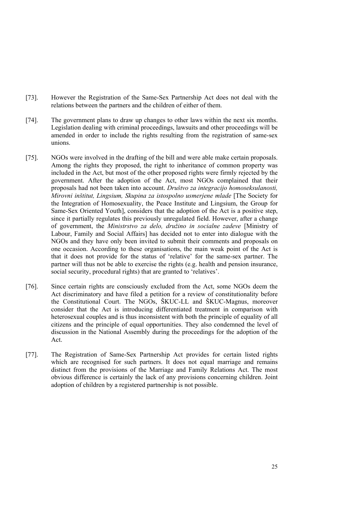- [73]. However the Registration of the Same-Sex Partnership Act does not deal with the relations between the partners and the children of either of them.
- [74]. The government plans to draw up changes to other laws within the next six months. Legislation dealing with criminal proceedings, lawsuits and other proceedings will be amended in order to include the rights resulting from the registration of same-sex unions.
- [75]. NGOs were involved in the drafting of the bill and were able make certain proposals. Among the rights they proposed, the right to inheritance of common property was included in the Act, but most of the other proposed rights were firmly rejected by the government. After the adoption of the Act, most NGOs complained that their proposals had not been taken into account. *Društvo za integracijo homoseksulanosti, Mirovni inštitut, Lingsium, Skupina za istospolno usmerjene mlade* [The Society for the Integration of Homosexuality, the Peace Institute and Lingsium, the Group for Same-Sex Oriented Youth], considers that the adoption of the Act is a positive step, since it partially regulates this previously unregulated field. However, after a change of government, the *Ministrstvo za delo, družino in socialne zadeve* [Ministry of Labour, Family and Social Affairs] has decided not to enter into dialogue with the NGOs and they have only been invited to submit their comments and proposals on one occasion. According to these organisations, the main weak point of the Act is that it does not provide for the status of 'relative' for the same-sex partner. The partner will thus not be able to exercise the rights (e.g. health and pension insurance, social security, procedural rights) that are granted to 'relatives'.
- [76]. Since certain rights are consciously excluded from the Act, some NGOs deem the Act discriminatory and have filed a petition for a review of constitutionality before the Constitutional Court. The NGOs, ŠKUC-LL and ŠKUC-Magnus, moreover consider that the Act is introducing differentiated treatment in comparison with heterosexual couples and is thus inconsistent with both the principle of equality of all citizens and the principle of equal opportunities. They also condemned the level of discussion in the National Assembly during the proceedings for the adoption of the Act.
- [77]. The Registration of Same-Sex Partnership Act provides for certain listed rights which are recognised for such partners. It does not equal marriage and remains distinct from the provisions of the Marriage and Family Relations Act. The most obvious difference is certainly the lack of any provisions concerning children. Joint adoption of children by a registered partnership is not possible.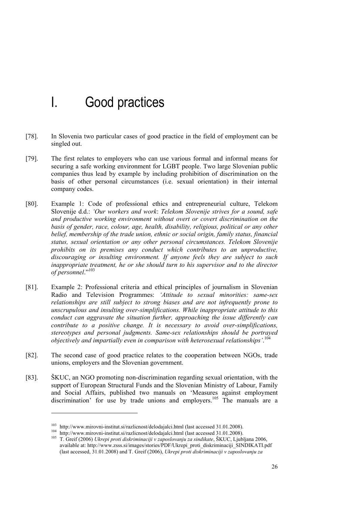## I. Good practices

- [78]. In Slovenia two particular cases of good practice in the field of employment can be singled out.
- [79]. The first relates to employers who can use various formal and informal means for securing a safe working environment for LGBT people. Two large Slovenian public companies thus lead by example by including prohibition of discrimination on the basis of other personal circumstances (i.e. sexual orientation) in their internal company codes.
- [80]. Example 1: Code of professional ethics and entrepreneurial culture, Telekom Slovenije d.d.: *'Our workers and work*: *Telekom Slovenije strives for a sound, safe and productive working environment without overt or covert discrimination on the*  basis of gender, race, colour, age, health, disability, religious, political or any other belief, membership of the trade union, ethnic or social origin, family status, financial *status, sexual orientation or any other personal circumstances. Telekom Slovenije prohibits on its premises any conduct which contributes to an unproductive, discouraging or insulting environment. If anyone feels they are subject to such inappropriate treatment, he or she should turn to his supervisor and to the director of personnel*."103
- [81]. Example 2: Professional criteria and ethical principles of journalism in Slovenian Radio and Television Programmes: *'Attitude to sexual minorities: same-sex relationships are still subject to strong biases and are not infrequently prone to unscrupulous and insulting over-simplifications. While inappropriate attitude to this conduct can aggravate the situation further, approaching the issue differently can contribute to a positive change. It is necessary to avoid over-simplifications, stereotypes and personal judgments. Same-sex relationships should be portrayed objectively and impartially even in comparison with heterosexual relationships'*. 104
- [82]. The second case of good practice relates to the cooperation between NGOs, trade unions, employers and the Slovenian government.
- [83]. ŠKUC, an NGO promoting non-discrimination regarding sexual orientation, with the support of European Structural Funds and the Slovenian Ministry of Labour, Family and Social Affairs, published two manuals on 'Measures against employment discrimination' for use by trade unions and employers.<sup>105</sup> The manuals are a

<sup>&</sup>lt;sup>103</sup> http://www.mirovni-institut.si/razlicnost/delodajalci.html (last accessed 31.01.2008).<br><sup>104</sup> http://www.mirovni-institut.si/razlicnost/delodajalci.html (last accessed 31.01.2008).<br><sup>105</sup> T. Greif (2006) *Ukrepi proti* available at: http://www.zsss.si/images/stories/PDF/Ukrepi\_proti\_diskriminaciji\_SINDIKATI.pdf (last accessed, 31.01.2008) and T. Greif (2006), *Ukrepi proti diskriminaciji v zaposlovanju za*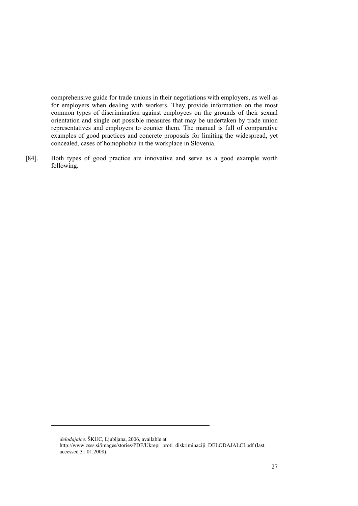comprehensive guide for trade unions in their negotiations with employers, as well as for employers when dealing with workers. They provide information on the most common types of discrimination against employees on the grounds of their sexual orientation and single out possible measures that may be undertaken by trade union representatives and employers to counter them. The manual is full of comparative examples of good practices and concrete proposals for limiting the widespread, yet concealed, cases of homophobia in the workplace in Slovenia.

[84]. Both types of good practice are innovative and serve as a good example worth following.

*delodajalce,* ŠKUC, Ljubljana, 2006, available at

http://www.zsss.si/images/stories/PDF/Ukrepi\_proti\_diskriminaciji\_DELODAJALCI.pdf (last accessed 31.01.2008).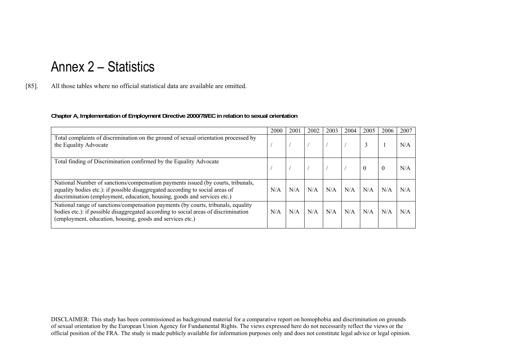## Annex 2 – Statistics

[85]. All those tables where no official statistical data are available are omitted.

#### **Chapter A, Implementation of Employment Directive 2000/78/EC in relation to sexual orientation**

|                                                                                                                                                                                                                                               | 2000 | 2001 | 2002 | 2003 | 2004 | 2005     | 2006     | 2007 |
|-----------------------------------------------------------------------------------------------------------------------------------------------------------------------------------------------------------------------------------------------|------|------|------|------|------|----------|----------|------|
| Total complaints of discrimination on the ground of sexual orientation processed by<br>the Equality Advocate                                                                                                                                  |      |      |      |      |      |          |          | N/A  |
| Total finding of Discrimination confirmed by the Equality Advocate                                                                                                                                                                            |      |      |      |      |      | $\theta$ | $\theta$ | N/A  |
| National Number of sanctions/compensation payments issued (by courts, tribunals,<br>equality bodies etc.): if possible disaggregated according to social areas of<br>discrimination (employment, education, housing, goods and services etc.) | N/A  | N/A  | N/A  | N/A  | N/A  | N/A      | N/A      | N/A  |
| National range of sanctions/compensation payments (by courts, tribunals, equality<br>bodies etc.): if possible disaggregated according to social areas of discrimination<br>(employment, education, housing, goods and services etc.)         | N/A  | N/A  | N/A  | N/A  | N/A  | N/A      | N/A      | N/A  |

DISCLAIMER: This study has been commissioned as background material for a comparative report on homophobia and discrimination on grounds of sexual orientation by the European Union Agency for Fundamental Rights. The views expressed here do not necessarily reflect the views or the official position of the FRA. The study is made publicly available for information purposes only and does not constitute legal advice or legal opinion.